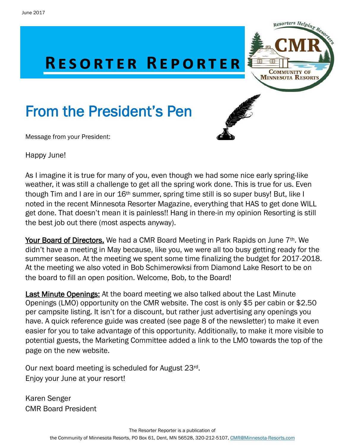

# From the President's Pen

Message from your President:



Happy June!

As I imagine it is true for many of you, even though we had some nice early spring-like weather, it was still a challenge to get all the spring work done. This is true for us. Even though Tim and I are in our 16<sup>th</sup> summer, spring time still is so super busy! But, like I noted in the recent Minnesota Resorter Magazine, everything that HAS to get done WILL get done. That doesn't mean it is painless!! Hang in there-in my opinion Resorting is still the best job out there (most aspects anyway).

Your Board of Directors. We had a CMR Board Meeting in Park Rapids on June 7<sup>th</sup>. We didn't have a meeting in May because, like you, we were all too busy getting ready for the summer season. At the meeting we spent some time finalizing the budget for 2017-2018. At the meeting we also voted in Bob Schimerowksi from Diamond Lake Resort to be on the board to fill an open position. Welcome, Bob, to the Board!

**Last Minute Openings:** At the board meeting we also talked about the Last Minute Openings (LMO) opportunity on the CMR website. The cost is only \$5 per cabin or \$2.50 per campsite listing. It isn't for a discount, but rather just advertising any openings you have. A quick reference guide was created (see page 8 of the newsletter) to make it even easier for you to take advantage of this opportunity. Additionally, to make it more visible to potential guests, the Marketing Committee added a link to the LMO towards the top of the page on the new website.

Our next board meeting is scheduled for August 23rd. Enjoy your June at your resort!

Karen Senger CMR Board President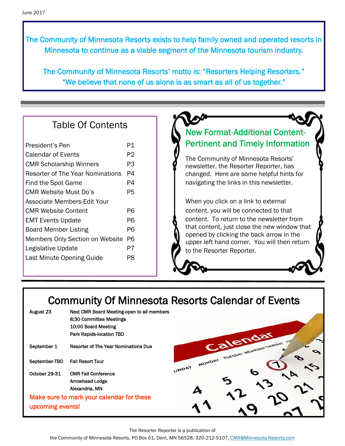The Community of Minnesota Resorts exists to help family owned and operated resorts in Minnesota to continue as a viable segment of the Minnesota tourism industry.

The Community of Minnesota Resorts' motto is: "Resorters Helping Resorters." "We believe that none of us alone is as smart as all of us together."

## Table Of Contents

| President's Pen                  | P1 |
|----------------------------------|----|
| Calendar of Events               | P2 |
| <b>CMR Scholarship Winners</b>   | PЗ |
| Resorter of The Year Nominations | P4 |
| Find the Spot Game               | P4 |
| CMR Website Must Do's            | P5 |
| Associate Members Edit Your      |    |
| <b>CMR Website Content</b>       | Р6 |
| <b>EMT Events Update</b>         | P6 |
| <b>Board Member Listing</b>      | P6 |
| Members Only Section on Website  | P6 |
| Legislative Update               | P7 |
| Last Minute Opening Guide        | PЯ |

# New Format-Additional Content-Pertinent and Timely Information

The Community of Minnesota Resorts' newsletter, the Resorter Reporter, has changed. Here are some helpful hints for navigating the links in this newsletter.

When you click on a link to external content, you will be connected to that content. To return to the newsletter from that content, just close the new window that opened by clicking the back arrow in the upper left hand corner. You will then return to the Resorter Reporter.

# Community Of Minnesota Resorts Calendar of Events

| August 23        | Next CMR Board Meeting-open to all members  |                 |                                            |  |
|------------------|---------------------------------------------|-----------------|--------------------------------------------|--|
|                  | 8:30 Committee Meetings                     |                 |                                            |  |
|                  | 10:00 Board Meeting                         |                 |                                            |  |
|                  | <b>Park Rapids-location TBD</b>             |                 |                                            |  |
| September 1      | <b>Resorter of The Year Nominations Due</b> |                 | Calendar<br>TUESDAY WEDNESDAY THURSDAY TWY |  |
| September-TBD    | <b>Fall Resort Tour</b>                     | MONDAY<br>UNDAY |                                            |  |
| October 29-31    | <b>CMR Fall Conference</b>                  |                 |                                            |  |
|                  | <b>Arrowhead Lodge</b>                      |                 |                                            |  |
|                  | Alexandria, MN                              |                 |                                            |  |
|                  | Make sure to mark your calendar for these   |                 |                                            |  |
| upcoming events! |                                             |                 |                                            |  |
|                  |                                             |                 |                                            |  |

The Resorter Reporter is a publication of

the Community of Minnesota Resorts, PO Box 61, Dent, MN 56528, 320-212-5107, [CMR@Minnesota-Resorts.com](mailto:CMR@Minnesota-Resorts.com?subject=Community%20of%20Minnesota%20Resorts)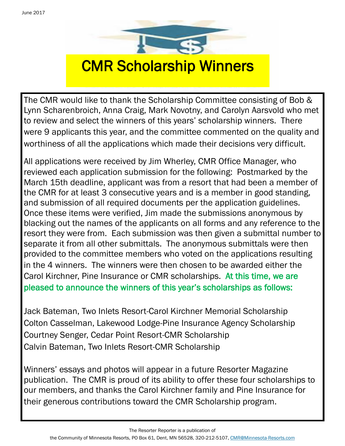

The CMR would like to thank the Scholarship Committee consisting of Bob & Lynn Scharenbroich, Anna Craig, Mark Novotny, and Carolyn Aarsvold who met to review and select the winners of this years' scholarship winners. There were 9 applicants this year, and the committee commented on the quality and worthiness of all the applications which made their decisions very difficult.

All applications were received by Jim Wherley, CMR Office Manager, who reviewed each application submission for the following: Postmarked by the March 15th deadline, applicant was from a resort that had been a member of the CMR for at least 3 consecutive years and is a member in good standing, and submission of all required documents per the application guidelines. Once these items were verified, Jim made the submissions anonymous by blacking out the names of the applicants on all forms and any reference to the resort they were from. Each submission was then given a submittal number to separate it from all other submittals. The anonymous submittals were then provided to the committee members who voted on the applications resulting in the 4 winners. The winners were then chosen to be awarded either the Carol Kirchner, Pine Insurance or CMR scholarships. At this time, we are pleased to announce the winners of this year's scholarships as follows:

Jack Bateman, Two Inlets Resort-Carol Kirchner Memorial Scholarship Colton Casselman, Lakewood Lodge-Pine Insurance Agency Scholarship Courtney Senger, Cedar Point Resort-CMR Scholarship Calvin Bateman, Two Inlets Resort-CMR Scholarship

Winners' essays and photos will appear in a future Resorter Magazine publication. The CMR is proud of its ability to offer these four scholarships to our members, and thanks the Carol Kirchner family and Pine Insurance for their generous contributions toward the CMR Scholarship program.

The Resorter Reporter is a publication of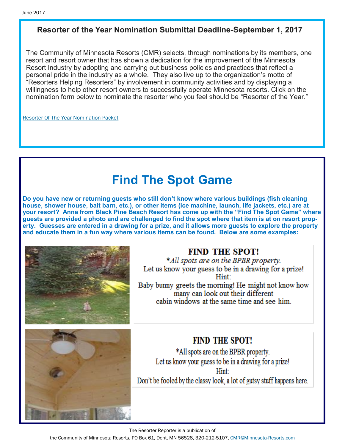### **Resorter of the Year Nomination Submittal Deadline-September 1, 2017**

The Community of Minnesota Resorts (CMR) selects, through nominations by its members, one resort and resort owner that has shown a dedication for the improvement of the Minnesota Resort Industry by adopting and carrying out business policies and practices that reflect a personal pride in the industry as a whole. They also live up to the organization's motto of "Resorters Helping Resorters" by involvement in community activities and by displaying a willingness to help other resort owners to successfully operate Minnesota resorts. Click on the nomination form below to nominate the resorter who you feel should be "Resorter of the Year."

[Resorter Of The Year Nomination Packet](http://minnesota-resorts.com/wp-lib/wp-content/uploads/2016/11/2016.04.07_ROY-nominating-packet-Community.pdf) 

# **Find The Spot Game**

**Do you have new or returning guests who still don't know where various buildings (fish cleaning house, shower house, bait barn, etc.), or other items (ice machine, launch, life jackets, etc.) are at your resort? Anna from Black Pine Beach Resort has come up with the "Find The Spot Game" where guests are provided a photo and are challenged to find the spot where that item is at on resort property. Guesses are entered in a drawing for a prize, and it allows more guests to explore the property and educate them in a fun way where various items can be found. Below are some examples:**



### **FIND THE SPOT!**

\*All spots are on the BPBR property. Let us know your guess to be in a drawing for a prize! Hint: Baby bunny greets the morning! He might not know how many can look out their different cabin windows at the same time and see him



### **FIND THE SPOT!**

\*All spots are on the BPBR property. Let us know your guess to be in a drawing for a prize! Hint<sup>-</sup> Don't be fooled by the classy look, a lot of gutsy stuff happens here.

The Resorter Reporter is a publication of

the Community of Minnesota Resorts, PO Box 61, Dent, MN 56528, 320-212-5107, [CMR@Minnesota-Resorts.com](mailto:CMR@Minnesota-Resorts.com?subject=Community%20of%20Minnesota%20Resorts)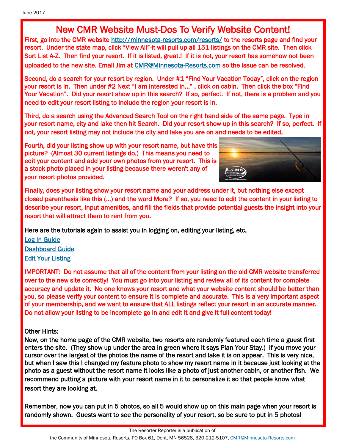# New CMR Website Must-Dos To Verify Website Content!

First, go into the CMR website [http://minnesota-resorts.com/resorts/ t](http://minnesota-resorts.com/resorts/)o the resorts page and find your resort. Under the state map, click "View All"-it will pull up all 151 listings on the CMR site. Then click Sort List A-Z. Then find your resort. If it is listed, great.! If it is not, your resort has somehow not been uploaded to the new site. Email Jim at [CMR@Minnesota-Resorts.com s](mailto:cmr@Minnesota-Resorts.com?subject=Resort%20Not%20On%20Website)o the issue can be resolved.

Second, do a search for your resort by region. Under #1 "Find Your Vacation Today", click on the region your resort is in. Then under #2 Next "I am interested in…" , click on cabin. Then click the box "Find Your Vacation". Did your resort show up in this search? If so, perfect. If not, there is a problem and you need to edit your resort listing to include the region your resort is in.

Third, do a search using the Advanced Search Tool on the right hand side of the same page. Type in your resort name, city and lake then hit Search. Did your resort show up in this search? If so, perfect. If not, your resort listing may not include the city and lake you are on and needs to be edited.

Fourth, did your listing show up with your resort name, but have this picture? (Almost 30 current listings do.) This means you need to edit your content and add your own photos from your resort. This is a stock photo placed in your listing because there weren't any of your resort photos provided.



Finally, does your listing show your resort name and your address under it, but nothing else except closed parenthesis like this (…) and the word More? If so, you need to edit the content in your listing to describe your resort, input amenities, and fill the fields that provide potential guests the insight into your resort that will attract them to rent from you.

Here are the tutorials again to assist you in logging on, editing your listing, etc.

[Log In Guide](http://minnesota-resorts.com/wp-lib/wp-content/uploads/2016/11/Log-In-guide-0417.pdf)  [Dashboard Guide](http://minnesota-resorts.com/wp-lib/wp-content/uploads/2016/11/Dashboard-guide-0417.pdf)  [Edit Your Listing](http://minnesota-resorts.com/wp-lib/wp-content/uploads/2016/11/Edit-information-0417.pdf) 

IMPORTANT: Do not assume that all of the content from your listing on the old CMR website transferred over to the new site correctly! You must go into your listing and review all of its content for complete accuracy and update it. No one knows your resort and what your website content should be better than you, so please verify your content to ensure it is complete and accurate. This is a very important aspect of your membership, and we want to ensure that ALL listings reflect your resort in an accurate manner. Do not allow your listing to be incomplete go in and edit it and give it full content today!

### Other Hints:

Now, on the home page of the CMR website, two resorts are randomly featured each time a guest first enters the site. (They show up under the area in green where it says Plan Your Stay.) If you move your cursor over the largest of the photos the name of the resort and lake it is on appear. This is very nice, but when I saw this I changed my feature photo to show my resort name in it because just looking at the photo as a guest without the resort name it looks like a photo of just another cabin, or another fish. We recommend putting a picture with your resort name in it to personalize it so that people know what resort they are looking at.

Remember, now you can put in 5 photos, so all 5 would show up on this main page when your resort is randomly shown. Guests want to see the personality of your resort, so be sure to put in 5 photos!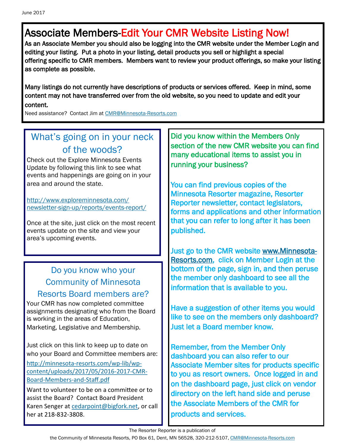# Associate Members-Edit Your CMR Website Listing Now!

As an Associate Member you should also be logging into the CMR website under the Member Login and editing your listing. Put a photo in your listing, detail products you sell or highlight a special offering specific to CMR members. Members want to review your product offerings, so make your listing as complete as possible.

Many listings do not currently have descriptions of products or services offered. Keep in mind, some content may not have transferred over from the old website, so you need to update and edit your content.

Need assistance? Contact Jim at [CMR@Minnesota-Resorts.com](mailto:CMR@Minnesota-Resorts.com?subject=Associate%20Member%20Website%20Assistance)

# What's going on in your neck of the woods?

Check out the Explore Minnesota Events Update by following this link to see what events and happenings are going on in your area and around the state.

[http://www.exploreminnesota.com/](http://www.exploreminnesota.com/newsletter-sign-up/reports/events-report/) [newsletter-sign-up/reports/events-report/](http://www.exploreminnesota.com/newsletter-sign-up/reports/events-report/)

Once at the site, just click on the most recent events update on the site and view your area's upcoming events.

### Do you know who your Community of Minnesota Resorts Board members are?

Your CMR has now completed committee assignments designating who from the Board is working in the areas of Education, Marketing, Legislative and Membership.

Just click on this link to keep up to date on who your Board and Committee members are:

[http://minnesota](http://minnesota-resorts.com/wp-lib/wp-content/uploads/2017/05/2016-2017-CMR-Board-Members-and-Staff.pdf)-resorts.com/wp-lib/wp[content/uploads/2017/05/2016](http://minnesota-resorts.com/wp-lib/wp-content/uploads/2017/05/2016-2017-CMR-Board-Members-and-Staff.pdf)-2017-CMR-Board-[Members](http://minnesota-resorts.com/wp-lib/wp-content/uploads/2017/05/2016-2017-CMR-Board-Members-and-Staff.pdf)-and-Staff.pdf

Want to volunteer to be on a committee or to assist the Board? Contact Board President Karen Senger at [cedarpoint@bigfork.net,](mailto:cedarpoint@bigfork.net?subject=Volunteer%20to%20Assist%20CMR) or call her at 218-832-3808.

Did you know within the Members Only section of the new CMR website you can find many educational items to assist you in running your business?

You can find previous copies of the Minnesota Resorter magazine, Resorter Reporter newsletter, contact legislators, forms and applications and other information that you can refer to long after it has been published.

Just go to the CMR website [www.Minnesota-](http://www.Minnesota-Resorts.com)[Resorts.com,](http://www.Minnesota-Resorts.com) click on Member Login at the bottom of the page, sign in, and then peruse the member only dashboard to see all the information that is available to you.

Have a suggestion of other items you would like to see on the members only dashboard? Just let a Board member know.

Remember, from the Member Only dashboard you can also refer to our Associate Member sites for products specific to you as resort owners. Once logged in and on the dashboard page, just click on vendor directory on the left hand side and peruse the Associate Members of the CMR for products and services.

The Resorter Reporter is a publication of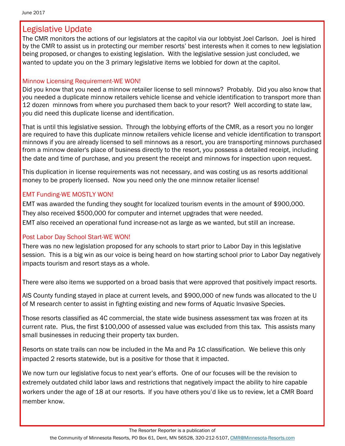### Legislative Update

The CMR monitors the actions of our legislators at the capitol via our lobbyist Joel Carlson. Joel is hired by the CMR to assist us in protecting our member resorts' best interests when it comes to new legislation being proposed, or changes to existing legislation. With the legislative session just concluded, we wanted to update you on the 3 primary legislative items we lobbied for down at the capitol.

#### Minnow Licensing Requirement-WE WON!

Did you know that you need a minnow retailer license to sell minnows? Probably. Did you also know that you needed a duplicate minnow retailers vehicle license and vehicle identification to transport more than 12 dozen minnows from where you purchased them back to your resort? Well according to state law, you did need this duplicate license and identification.

That is until this legislative session. Through the lobbying efforts of the CMR, as a resort you no longer are required to have this duplicate minnow retailers vehicle license and vehicle identification to transport minnows if you are already licensed to sell minnows as a resort, you are transporting minnows purchased from a minnow dealer's place of business directly to the resort, you possess a detailed receipt, including the date and time of purchase, and you present the receipt and minnows for inspection upon request.

This duplication in license requirements was not necessary, and was costing us as resorts additional money to be properly licensed. Now you need only the one minnow retailer license!

### EMT Funding-WE MOSTLY WON!

EMT was awarded the funding they sought for localized tourism events in the amount of \$900,000. They also received \$500,000 for computer and internet upgrades that were needed. EMT also received an operational fund increase-not as large as we wanted, but still an increase.

#### Post Labor Day School Start-WE WON!

There was no new legislation proposed for any schools to start prior to Labor Day in this legislative session. This is a big win as our voice is being heard on how starting school prior to Labor Day negatively impacts tourism and resort stays as a whole.

There were also items we supported on a broad basis that were approved that positively impact resorts.

AIS County funding stayed in place at current levels, and \$900,000 of new funds was allocated to the U of M research center to assist in fighting existing and new forms of Aquatic Invasive Species.

Those resorts classified as 4C commercial, the state wide business assessment tax was frozen at its current rate. Plus, the first \$100,000 of assessed value was excluded from this tax. This assists many small businesses in reducing their property tax burden.

Resorts on state trails can now be included in the Ma and Pa 1C classification. We believe this only impacted 2 resorts statewide, but is a positive for those that it impacted.

We now turn our legislative focus to next year's efforts. One of our focuses will be the revision to extremely outdated child labor laws and restrictions that negatively impact the ability to hire capable workers under the age of 18 at our resorts. If you have others you'd like us to review, let a CMR Board member know.

The Resorter Reporter is a publication of

the Community of Minnesota Resorts, PO Box 61, Dent, MN 56528, 320-212-5107, [CMR@Minnesota-Resorts.com](mailto:CMR@Minnesota-Resorts.com?subject=Community%20of%20Minnesota%20Resorts)